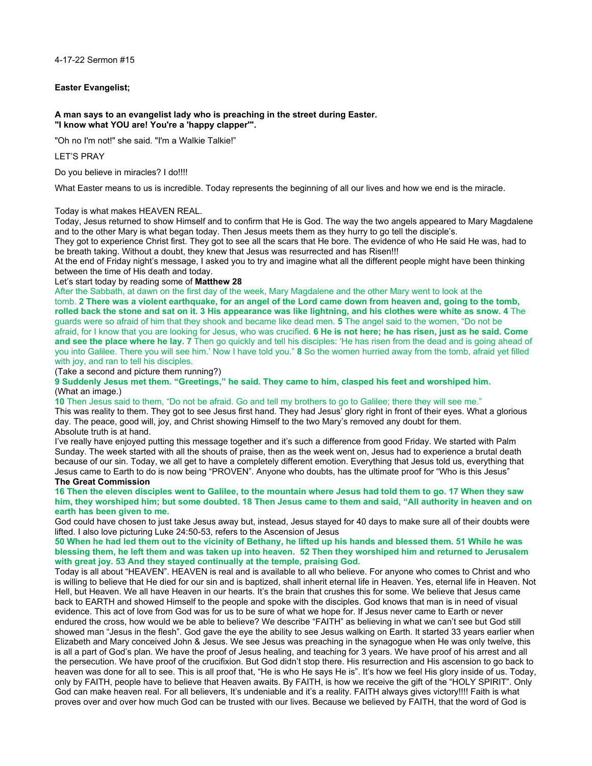4-17-22 Sermon #15

## **Easter Evangelist;**

#### **A man says to an evangelist lady who is preaching in the street during Easter. "I know what YOU are! You're a 'happy clapper'".**

"Oh no I'm not!" she said. "I'm a Walkie Talkie!"

# LET'S PRAY

Do you believe in miracles? I do!!!!

What Easter means to us is incredible. Today represents the beginning of all our lives and how we end is the miracle.

## Today is what makes HEAVEN REAL.

Today, Jesus returned to show Himself and to confirm that He is God. The way the two angels appeared to Mary Magdalene and to the other Mary is what began today. Then Jesus meets them as they hurry to go tell the disciple's.

They got to experience Christ first. They got to see all the scars that He bore. The evidence of who He said He was, had to be breath taking. Without a doubt, they knew that Jesus was resurrected and has Risen!!!

At the end of Friday night's message, I asked you to try and imagine what all the different people might have been thinking between the time of His death and today.

Let's start today by reading some of **Matthew 28** 

After the Sabbath, at dawn on the first day of the week, Mary Magdalene and the other Mary went to look at the tomb. **2 There was a violent earthquake, for an angel of the Lord came down from heaven and, going to the tomb, rolled back the stone and sat on it. 3 His appearance was like lightning, and his clothes were white as snow. 4** The guards were so afraid of him that they shook and became like dead men. **5** The angel said to the women, "Do not be afraid, for I know that you are looking for Jesus, who was crucified. **6 He is not here; he has risen, just as he said. Come and see the place where he lay. 7** Then go quickly and tell his disciples: 'He has risen from the dead and is going ahead of you into Galilee. There you will see him.' Now I have told you." **8** So the women hurried away from the tomb, afraid yet filled with joy, and ran to tell his disciples.

(Take a second and picture them running?)

**9 Suddenly Jesus met them. "Greetings," he said. They came to him, clasped his feet and worshiped him.** (What an image.)

**10** Then Jesus said to them, "Do not be afraid. Go and tell my brothers to go to Galilee; there they will see me."

This was reality to them. They got to see Jesus first hand. They had Jesus' glory right in front of their eyes. What a glorious day. The peace, good will, joy, and Christ showing Himself to the two Mary's removed any doubt for them. Absolute truth is at hand.

I've really have enjoyed putting this message together and it's such a difference from good Friday. We started with Palm Sunday. The week started with all the shouts of praise, then as the week went on, Jesus had to experience a brutal death because of our sin. Today, we all get to have a completely different emotion. Everything that Jesus told us, everything that Jesus came to Earth to do is now being "PROVEN". Anyone who doubts, has the ultimate proof for "Who is this Jesus" **The Great Commission**

### **16 Then the eleven disciples went to Galilee, to the mountain where Jesus had told them to go. 17 When they saw him, they worshiped him; but some doubted. 18 Then Jesus came to them and said, "All authority in heaven and on earth has been given to me.**

God could have chosen to just take Jesus away but, instead, Jesus stayed for 40 days to make sure all of their doubts were lifted. I also love picturing Luke 24:50-53, refers to the Ascension of Jesus

## **50 When he had led them out to the vicinity of Bethany, he lifted up his hands and blessed them. 51 While he was blessing them, he left them and was taken up into heaven. 52 Then they worshiped him and returned to Jerusalem with great joy. 53 And they stayed continually at the temple, praising God.**

Today is all about "HEAVEN". HEAVEN is real and is available to all who believe. For anyone who comes to Christ and who is willing to believe that He died for our sin and is baptized, shall inherit eternal life in Heaven. Yes, eternal life in Heaven. Not Hell, but Heaven. We all have Heaven in our hearts. It's the brain that crushes this for some. We believe that Jesus came back to EARTH and showed Himself to the people and spoke with the disciples. God knows that man is in need of visual evidence. This act of love from God was for us to be sure of what we hope for. If Jesus never came to Earth or never endured the cross, how would we be able to believe? We describe "FAITH" as believing in what we can't see but God still showed man "Jesus in the flesh". God gave the eye the ability to see Jesus walking on Earth. It started 33 years earlier when Elizabeth and Mary conceived John & Jesus. We see Jesus was preaching in the synagogue when He was only twelve, this is all a part of God's plan. We have the proof of Jesus healing, and teaching for 3 years. We have proof of his arrest and all the persecution. We have proof of the crucifixion. But God didn't stop there. His resurrection and His ascension to go back to heaven was done for all to see. This is all proof that, "He is who He says He is". It's how we feel His glory inside of us. Today, only by FAITH, people have to believe that Heaven awaits. By FAITH, is how we receive the gift of the "HOLY SPIRIT". Only God can make heaven real. For all believers, It's undeniable and it's a reality. FAITH always gives victory!!!! Faith is what proves over and over how much God can be trusted with our lives. Because we believed by FAITH, that the word of God is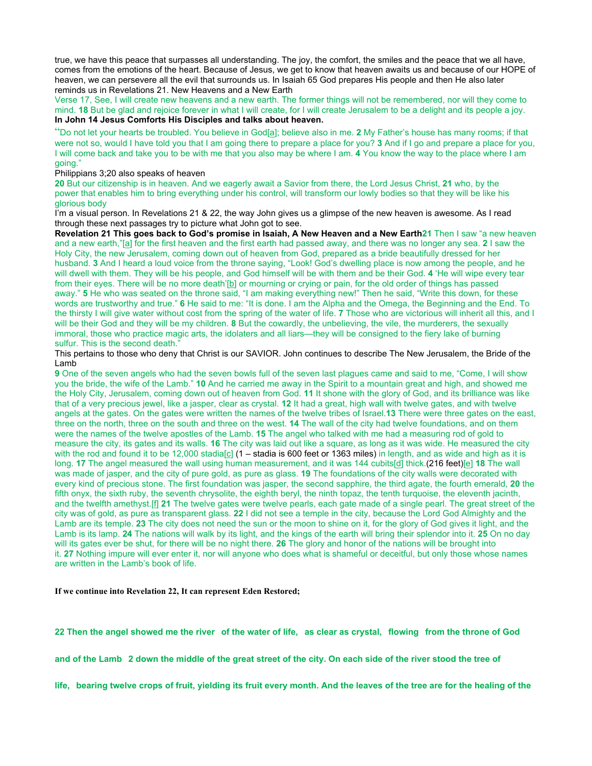true, we have this peace that surpasses all understanding. The joy, the comfort, the smiles and the peace that we all have, comes from the emotions of the heart. Because of Jesus, we get to know that heaven awaits us and because of our HOPE of heaven, we can persevere all the evil that surrounds us. In Isaiah 65 God prepares His people and then He also later reminds us in Revelations 21. New Heavens and a New Earth

Verse 17, See, I will create new heavens and a new earth. The former things will not be remembered, nor will they come to mind. **18** But be glad and rejoice forever in what I will create, for I will create Jerusalem to be a delight and its people a joy. **In John 14 Jesus Comforts His Disciples and talks about heaven.**

"Do not let your hearts be troubled. You believe in God[\[a](https://www.biblegateway.com/passage/?search=John+14&version=NIV#fen-NIV-26670a)]; believe also in me. **2** My Father's house has many rooms; if that were not so, would I have told you that I am going there to prepare a place for you? **3** And if I go and prepare a place for you, I will come back and take you to be with me that you also may be where I am. **4** You know the way to the place where I am going."

Philippians 3;20 also speaks of heaven

**20** But our citizenship is in heaven. And we eagerly await a Savior from there, the Lord Jesus Christ, **21** who, by the power that enables him to bring everything under his control, will transform our lowly bodies so that they will be like his glorious body

I'm a visual person. In Revelations 21 & 22, the way John gives us a glimpse of the new heaven is awesome. As I read through these next passages try to picture what John got to see.

Revelation 21 This goes back to God's promise in Isaiah, A New Heaven and a New Earth21 Then I saw "a new heaven and a new earth,"[\[a](https://www.biblegateway.com/passage/?search=Revelation+21&version=NIV#fen-NIV-31055a)] for the first heaven and the first earth had passed away, and there was no longer any sea. **2** I saw the Holy City, the new Jerusalem, coming down out of heaven from God, prepared as a bride beautifully dressed for her husband. **3** And I heard a loud voice from the throne saying, "Look! God's dwelling place is now among the people, and he will dwell with them. They will be his people, and God himself will be with them and be their God. **4** 'He will wipe every tear from their eyes. There will be no more death'[\[b](https://www.biblegateway.com/passage/?search=Revelation+21&version=NIV#fen-NIV-31058b)] or mourning or crying or pain, for the old order of things has passed away." **5** He who was seated on the throne said, "I am making everything new!" Then he said, "Write this down, for these words are trustworthy and true." **6** He said to me: "It is done. I am the Alpha and the Omega, the Beginning and the End. To the thirsty I will give water without cost from the spring of the water of life. **7** Those who are victorious will inherit all this, and I will be their God and they will be my children. **8** But the cowardly, the unbelieving, the vile, the murderers, the sexually immoral, those who practice magic arts, the idolaters and all liars—they will be consigned to the fiery lake of burning sulfur. This is the second death."

This pertains to those who deny that Christ is our SAVIOR. John continues to describe The New Jerusalem, the Bride of the Lamb

**9** One of the seven angels who had the seven bowls full of the seven last plagues came and said to me, "Come, I will show you the bride, the wife of the Lamb." **10** And he carried me away in the Spirit to a mountain great and high, and showed me the Holy City, Jerusalem, coming down out of heaven from God. **11** It shone with the glory of God, and its brilliance was like that of a very precious jewel, like a jasper, clear as crystal. **12** It had a great, high wall with twelve gates, and with twelve angels at the gates. On the gates were written the names of the twelve tribes of Israel.**13** There were three gates on the east, three on the north, three on the south and three on the west. **14** The wall of the city had twelve foundations, and on them were the names of the twelve apostles of the Lamb. **15** The angel who talked with me had a measuring rod of gold to measure the city, its gates and its walls. **16** The city was laid out like a square, as long as it was wide. He measured the city with the rod and found it to be 12,000 stadia[\[c\]](https://www.biblegateway.com/passage/?search=Revelation+21&version=NIV#fen-NIV-31070c)  $(1 -$  stadia is 600 feet or 1363 miles) in length, and as wide and high as it is long. **17** The angel measured the wall using human measurement, and it was 144 cubits[[d\]](https://www.biblegateway.com/passage/?search=Revelation+21&version=NIV#fen-NIV-31071d) thick.(216 feet)[[e\]](https://www.biblegateway.com/passage/?search=Revelation+21&version=NIV#fen-NIV-31071e) **18** The wall was made of jasper, and the city of pure gold, as pure as glass. **19** The foundations of the city walls were decorated with every kind of precious stone. The first foundation was jasper, the second sapphire, the third agate, the fourth emerald, **20** the fifth onyx, the sixth ruby, the seventh chrysolite, the eighth beryl, the ninth topaz, the tenth turquoise, the eleventh jacinth, and the twelfth amethyst.[\[f\]](https://www.biblegateway.com/passage/?search=Revelation+21&version=NIV#fen-NIV-31074f) **21** The twelve gates were twelve pearls, each gate made of a single pearl. The great street of the city was of gold, as pure as transparent glass. **22** I did not see a temple in the city, because the Lord God Almighty and the Lamb are its temple. **23** The city does not need the sun or the moon to shine on it, for the glory of God gives it light, and the Lamb is its lamp. **24** The nations will walk by its light, and the kings of the earth will bring their splendor into it. **25** On no day will its gates ever be shut, for there will be no night there. **26** The glory and honor of the nations will be brought into it. **27** Nothing impure will ever enter it, nor will anyone who does what is shameful or deceitful, but only those whose names are written in the Lamb's book of life.

**If we continue into Revelation 22, It can represent Eden Restored;**

**22 Then the angel showed me the river of the water of life, as clear as crystal, flowing from the throne of God** 

**and of the Lamb 2 down the middle of the great street of the city. On each side of the river stood the tree of** 

**life, bearing twelve crops of fruit, yielding its fruit every month. And the leaves of the tree are for the healing of the**